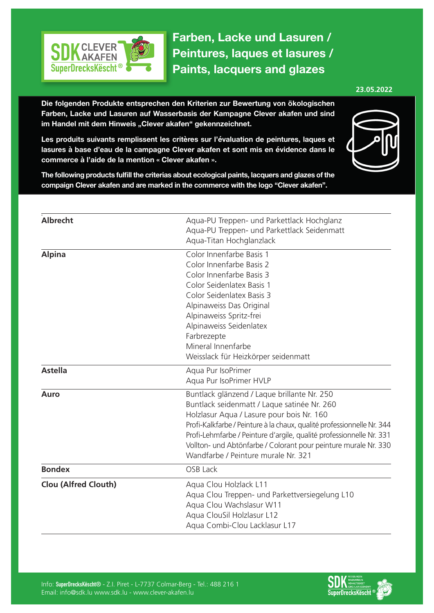

**Farben, Lacke und Lasuren / Peintures, laques et lasures / Paints, lacquers and glazes**

## **23.05.2022**

**Die folgenden Produkte entsprechen den Kriterien zur Bewertung von ökologischen Farben, Lacke und Lasuren auf Wasserbasis der Kampagne Clever akafen und sind**  im Handel mit dem Hinweis "Clever akafen" gekennzeichnet.

**Les produits suivants remplissent les critères sur l'évaluation de peintures, laques et lasures à base d'eau de la campagne Clever akafen et sont mis en évidence dans le commerce à l'aide de la mention « Clever akafen ».**



**The following products fulfill the criterias about ecological paints, lacquers and glazes of the compaign Clever akafen and are marked in the commerce with the logo "Clever akafen".**

| Aqua-PU Treppen- und Parkettlack Hochglanz                             |
|------------------------------------------------------------------------|
| Aqua-PU Treppen- und Parkettlack Seidenmatt                            |
| Aqua-Titan Hochglanzlack                                               |
| Color Innenfarbe Basis 1                                               |
| Color Innenfarbe Basis 2                                               |
| Color Innenfarbe Basis 3                                               |
| Color Seidenlatex Basis 1                                              |
| Color Seidenlatex Basis 3                                              |
| Alpinaweiss Das Original                                               |
| Alpinaweiss Spritz-frei                                                |
| Alpinaweiss Seidenlatex                                                |
| Farbrezepte                                                            |
| Mineral Innenfarbe                                                     |
| Weisslack für Heizkörper seidenmatt                                    |
| Aqua Pur IsoPrimer                                                     |
| Aqua Pur IsoPrimer HVLP                                                |
| Buntlack glänzend / Laque brillante Nr. 250                            |
| Buntlack seidenmatt / Laque satinée Nr. 260                            |
| Holzlasur Aqua / Lasure pour bois Nr. 160                              |
| Profi-Kalkfarbe / Peinture à la chaux, qualité professionnelle Nr. 344 |
| Profi-Lehmfarbe / Peinture d'argile, qualité professionnelle Nr. 331   |
| Vollton- und Abtönfarbe / Colorant pour peinture murale Nr. 330        |
| Wandfarbe / Peinture murale Nr. 321                                    |
| <b>OSB Lack</b>                                                        |
| Aqua Clou Holzlack L11                                                 |
| Aqua Clou Treppen- und Parkettversiegelung L10                         |
| Aqua Clou Wachslasur W11                                               |
| Aqua ClouSil Holzlasur L12                                             |
| Aqua Combi-Clou Lacklasur L17                                          |
|                                                                        |

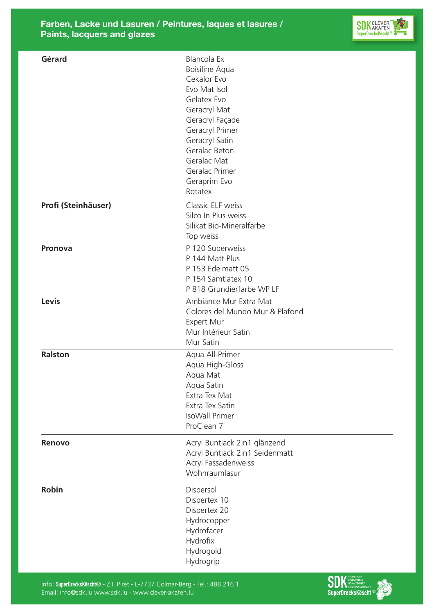

| Gérard              | Blancola Ex<br>Boisiline Aqua<br>Cekalor Evo<br>Evo Mat Isol<br>Gelatex Evo<br>Geracryl Mat<br>Geracryl Façade<br>Geracryl Primer<br>Geracryl Satin<br>Geralac Beton<br>Geralac Mat<br>Geralac Primer<br>Geraprim Evo<br>Rotatex |
|---------------------|----------------------------------------------------------------------------------------------------------------------------------------------------------------------------------------------------------------------------------|
| Profi (Steinhäuser) | Classic ELF weiss<br>Silco In Plus weiss<br>Silikat Bio-Mineralfarbe<br>Top weiss                                                                                                                                                |
| <b>Pronova</b>      | P 120 Superweiss<br>P 144 Matt Plus<br>P 153 Edelmatt 05<br>P 154 Samtlatex 10<br>P 818 Grundierfarbe WP LF                                                                                                                      |
| Levis               | Ambiance Mur Extra Mat<br>Colores del Mundo Mur & Plafond<br>Expert Mur<br>Mur Intérieur Satin<br>Mur Satin                                                                                                                      |
| <b>Ralston</b>      | Aqua All-Primer<br>Aqua High-Gloss<br>Aqua Mat<br>Aqua Satin<br>Extra Tex Mat<br>Extra Tex Satin<br><b>IsoWall Primer</b><br>ProClean 7                                                                                          |
| Renovo              | Acryl Buntlack 2in1 glänzend<br>Acryl Buntlack 2in1 Seidenmatt<br>Acryl Fassadenweiss<br>Wohnraumlasur                                                                                                                           |
| <b>Robin</b>        | Dispersol<br>Dispertex 10<br>Dispertex 20<br>Hydrocopper<br>Hydrofacer<br>Hydrofix<br>Hydrogold<br>Hydrogrip                                                                                                                     |